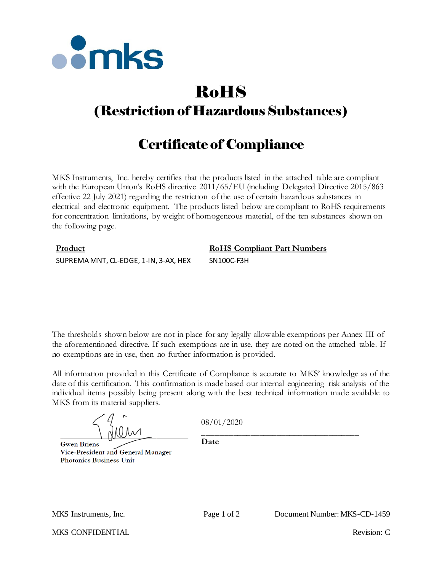

# RoHS (Restriction of Hazardous Substances)

## Certificate of Compliance

MKS Instruments, Inc. hereby certifies that the products listed in the attached table are compliant with the European Union's RoHS directive  $2011/65/EU$  (including Delegated Directive 2015/863 effective 22 July 2021) regarding the restriction of the use of certain hazardous substances in electrical and electronic equipment. The products listed below are compliant to RoHS requirements for concentration limitations, by weight of homogeneous material, of the ten substances shown on the following page.

### **Product RoHS Compliant Part Numbers** SUPREMA MNT, CL-EDGE, 1-IN, 3-AX, HEX SN100C-F3H

The thresholds shown below are not in place for any legally allowable exemptions per Annex III of the aforementioned directive. If such exemptions are in use, they are noted on the attached table. If no exemptions are in use, then no further information is provided.

All information provided in this Certificate of Compliance is accurate to MKS' knowledge as of the date of this certification. This confirmation is made based our internal engineering risk analysis of the individual items possibly being present along with the best technical information made available to MKS from its material suppliers.

**Gwen Briens** Vice-President and General Manager **Photonics Business Unit** 

08/01/2020

\_\_\_\_\_\_\_\_\_\_\_\_\_\_\_\_\_\_\_\_\_\_\_\_\_\_\_\_\_\_\_\_\_\_\_\_

**Date**

MKS CONFIDENTIAL THE CONFIDENTIAL Revision: C